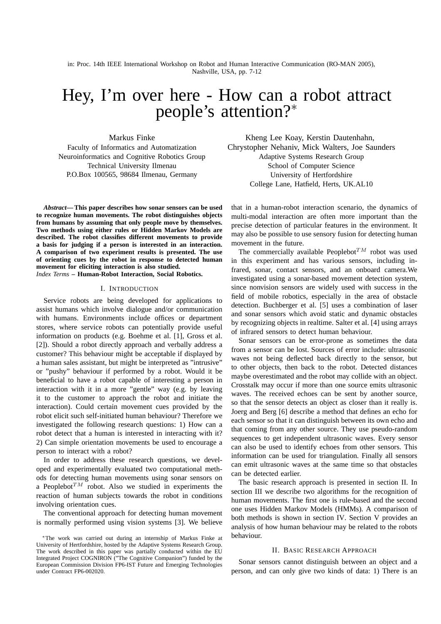in: Proc. 14th IEEE International Workshop on Robot and Human Interactive Communication (RO-MAN 2005), Nashville, USA, pp. 7-12

# Hey, I'm over here - How can a robot attract people's attention?<sup>∗</sup>

Markus Finke Faculty of Informatics and Automatization Neuroinformatics and Cognitive Robotics Group Technical University Ilmenau P.O.Box 100565, 98684 Ilmenau, Germany

Kheng Lee Koay, Kerstin Dautenhahn, Chrystopher Nehaniv, Mick Walters, Joe Saunders Adaptive Systems Research Group School of Computer Science University of Hertfordshire College Lane, Hatfield, Herts, UK.AL10

*Abstract***— This paper describes how sonar sensors can be used to recognize human movements. The robot distinguishes objects from humans by assuming that only people move by themselves. Two methods using either rules or Hidden Markov Models are described. The robot classifies different movements to provide a basis for judging if a person is interested in an interaction. A comparison of two experiment results is presented. The use of orienting cues by the robot in response to detected human movement for eliciting interaction is also studied.** *Index Terms* **– Human-Robot Interaction, Social Robotics.**

#### I. INTRODUCTION

Service robots are being developed for applications to assist humans which involve dialogue and/or communication with humans. Environments include offices or department stores, where service robots can potentially provide useful information on products (e.g. Boehme et al. [1], Gross et al. [2]). Should a robot directly approach and verbally address a customer? This behaviour might be acceptable if displayed by a human sales assistant, but might be interpreted as "intrusive" or "pushy" behaviour if performed by a robot. Would it be beneficial to have a robot capable of interesting a person in interaction with it in a more "gentle" way (e.g. by leaving it to the customer to approach the robot and initiate the interaction). Could certain movement cues provided by the robot elicit such self-initiated human behaviour? Therefore we investigated the following research questions: 1) How can a robot detect that a human is interested in interacting with it? 2) Can simple orientation movements be used to encourage a person to interact with a robot?

In order to address these research questions, we developed and experimentally evaluated two computational methods for detecting human movements using sonar sensors on a Peoplebot<sup>TM</sup> robot. Also we studied in experiments the reaction of human subjects towards the robot in conditions involving orientation cues.

The conventional approach for detecting human movement is normally performed using vision systems [3]. We believe

that in a human-robot interaction scenario, the dynamics of multi-modal interaction are often more important than the precise detection of particular features in the environment. It may also be possible to use sensory fusion for detecting human movement in the future.

The commercially available Peoplebot<sup>TM</sup> robot was used in this experiment and has various sensors, including infrared, sonar, contact sensors, and an onboard camera.We investigated using a sonar-based movement detection system, since nonvision sensors are widely used with success in the field of mobile robotics, especially in the area of obstacle detection. Buchberger et al. [5] uses a combination of laser and sonar sensors which avoid static and dynamic obstacles by recognizing objects in realtime. Salter et al. [4] using arrays of infrared sensors to detect human behaviour.

Sonar sensors can be error-prone as sometimes the data from a sensor can be lost. Sources of error include: ultrasonic waves not being deflected back directly to the sensor, but to other objects, then back to the robot. Detected distances maybe overestimated and the robot may collide with an object. Crosstalk may occur if more than one source emits ultrasonic waves. The received echoes can be sent by another source, so that the sensor detects an object as closer than it really is. Joerg and Berg [6] describe a method that defines an echo for each sensor so that it can distinguish between its own echo and that coming from any other source. They use pseudo-random sequences to get independent ultrasonic waves. Every sensor can also be used to identify echoes from other sensors. This information can be used for triangulation. Finally all sensors can emit ultrasonic waves at the same time so that obstacles can be detected earlier.

The basic research approach is presented in section II. In section III we describe two algorithms for the recognition of human movements. The first one is rule-based and the second one uses Hidden Markov Models (HMMs). A comparison of both methods is shown in section IV. Section V provides an analysis of how human behaviour may be related to the robots behaviour.

#### II. BASIC RESEARCH APPROACH

Sonar sensors cannot distinguish between an object and a person, and can only give two kinds of data: 1) There is an

<sup>∗</sup>The work was carried out during an internship of Markus Finke at University of Hertfordshire, hosted by the Adaptive Systems Research Group. The work described in this paper was partially conducted within the EU Integrated Project COGNIRON ("The Cognitive Companion") funded by the European Commission Division FP6-IST Future and Emerging Technologies under Contract FP6-002020.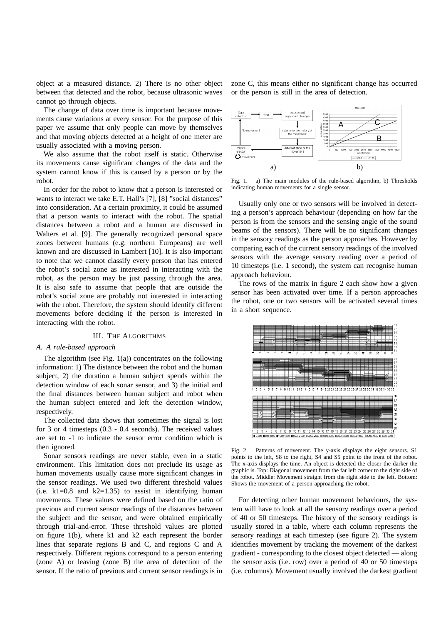object at a measured distance. 2) There is no other object between that detected and the robot, because ultrasonic waves cannot go through objects.

The change of data over time is important because movements cause variations at every sensor. For the purpose of this paper we assume that only people can move by themselves and that moving objects detected at a height of one meter are usually associated with a moving person.

We also assume that the robot itself is static. Otherwise its movements cause significant changes of the data and the system cannot know if this is caused by a person or by the robot.

In order for the robot to know that a person is interested or wants to interact we take E.T. Hall's [7], [8] "social distances" into consideration. At a certain proximity, it could be assumed that a person wants to interact with the robot. The spatial distances between a robot and a human are discussed in Walters et al. [9]. The generally recognized personal space zones between humans (e.g. northern Europeans) are well known and are discussed in Lambert [10]. It is also important to note that we cannot classify every person that has entered the robot's social zone as interested in interacting with the robot, as the person may be just passing through the area. It is also safe to assume that people that are outside the robot's social zone are probably not interested in interacting with the robot. Therefore, the system should identify different movements before deciding if the person is interested in interacting with the robot.

## III. THE ALGORITHMS

## *A. A rule-based approach*

The algorithm (see Fig.  $1(a)$ ) concentrates on the following information: 1) The distance between the robot and the human subject, 2) the duration a human subject spends within the detection window of each sonar sensor, and 3) the initial and the final distances between human subject and robot when the human subject entered and left the detection window, respectively.

The collected data shows that sometimes the signal is lost for 3 or 4 timesteps (0.3 - 0.4 seconds). The received values are set to -1 to indicate the sensor error condition which is then ignored.

Sonar sensors readings are never stable, even in a static environment. This limitation does not preclude its usage as human movements usually cause more significant changes in the sensor readings. We used two different threshold values (i.e.  $k1=0.8$  and  $k2=1.35$ ) to assist in identifying human movements. These values were defined based on the ratio of previous and current sensor readings of the distances between the subject and the sensor, and were obtained empirically through trial-and-error. These threshold values are plotted on figure 1(b), where k1 and k2 each represent the border lines that separate regions B and C, and regions C and A respectively. Different regions correspond to a person entering (zone A) or leaving (zone B) the area of detection of the sensor. If the ratio of previous and current sensor readings is in

zone C, this means either no significant change has occurred or the person is still in the area of detection.



Fig. 1. a) The main modules of the rule-based algorithm, b) Thresholds indicating human movements for a single sensor.

Usually only one or two sensors will be involved in detecting a person's approach behaviour (depending on how far the person is from the sensors and the sensing angle of the sound beams of the sensors). There will be no significant changes in the sensory readings as the person approaches. However by comparing each of the current sensory readings of the involved sensors with the average sensory reading over a period of 10 timesteps (i.e. 1 second), the system can recognise human approach behaviour.

The rows of the matrix in figure 2 each show how a given sensor has been activated over time. If a person approaches the robot, one or two sensors will be activated several times in a short sequence.



Fig. 2. Patterns of movement. The y-axis displays the eight sensors. S1 points to the left, S8 to the right, S4 and S5 point to the front of the robot. The x-axis displays the time. An object is detected the closer the darker the graphic is. Top: Diagonal movement from the far left corner to the right side of the robot. Middle: Movement straight from the right side to the left. Bottom: Shows the movement of a person approaching the robot.

For detecting other human movement behaviours, the system will have to look at all the sensory readings over a period of 40 or 50 timesteps. The history of the sensory readings is usually stored in a table, where each column represents the sensory readings at each timestep (see figure 2). The system identifies movement by tracking the movement of the darkest gradient - corresponding to the closest object detected — along the sensor axis (i.e. row) over a period of 40 or 50 timesteps (i.e. columns). Movement usually involved the darkest gradient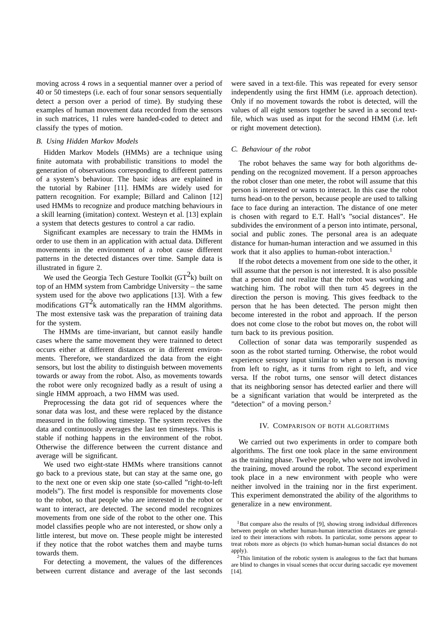moving across 4 rows in a sequential manner over a period of 40 or 50 timesteps (i.e. each of four sonar sensors sequentially detect a person over a period of time). By studying these examples of human movement data recorded from the sensors in such matrices, 11 rules were handed-coded to detect and classify the types of motion.

## *B. Using Hidden Markov Models*

Hidden Markov Models (HMMs) are a technique using finite automata with probabilistic transitions to model the generation of observations corresponding to different patterns of a system's behaviour. The basic ideas are explained in the tutorial by Rabiner [11]. HMMs are widely used for pattern recognition. For example; Billard and Calinon [12] used HMMs to recognize and produce matching behaviours in a skill learning (imitation) context. Westeyn et al. [13] explain a system that detects gestures to control a car radio.

Significant examples are necessary to train the HMMs in order to use them in an application with actual data. Different movements in the environment of a robot cause different patterns in the detected distances over time. Sample data is illustrated in figure 2.

We used the Georgia Tech Gesture Toolkit  $(GT^2k)$  built on top of an HMM system from Cambridge University – the same system used for the above two applications [13]. With a few modifications  $GT^2$ k automatically ran the HMM algorithms. The most extensive task was the preparation of training data for the system.

The HMMs are time-invariant, but cannot easily handle cases where the same movement they were trainned to detect occurs either at different distances or in different environments. Therefore, we standardized the data from the eight sensors, but lost the ability to distinguish between movements towards or away from the robot. Also, as movements towards the robot were only recognized badly as a result of using a single HMM approach, a two HMM was used.

Preprocessing the data got rid of sequences where the sonar data was lost, and these were replaced by the distance measured in the following timestep. The system receives the data and continuously averages the last ten timesteps. This is stable if nothing happens in the environment of the robot. Otherwise the difference between the current distance and average will be significant.

We used two eight-state HMMs where transitions cannot go back to a previous state, but can stay at the same one, go to the next one or even skip one state (so-called "right-to-left models"). The first model is responsible for movements close to the robot, so that people who are interested in the robot or want to interact, are detected. The second model recognizes movements from one side of the robot to the other one. This model classifies people who are not interested, or show only a little interest, but move on. These people might be interested if they notice that the robot watches them and maybe turns towards them.

For detecting a movement, the values of the differences between current distance and average of the last seconds were saved in a text-file. This was repeated for every sensor independently using the first HMM (i.e. approach detection). Only if no movement towards the robot is detected, will the values of all eight sensors together be saved in a second textfile, which was used as input for the second HMM (i.e. left or right movement detection).

## *C. Behaviour of the robot*

The robot behaves the same way for both algorithms depending on the recognized movement. If a person approaches the robot closer than one meter, the robot will assume that this person is interested or wants to interact. In this case the robot turns head-on to the person, because people are used to talking face to face during an interaction. The distance of one meter is chosen with regard to E.T. Hall's "social distances". He subdivides the environment of a person into intimate, personal, social and public zones. The personal area is an adequate distance for human-human interaction and we assumed in this work that it also applies to human-robot interaction.<sup>1</sup>

If the robot detects a movement from one side to the other, it will assume that the person is not interested. It is also possible that a person did not realize that the robot was working and watching him. The robot will then turn 45 degrees in the direction the person is moving. This gives feedback to the person that he has been detected. The person might then become interested in the robot and approach. If the person does not come close to the robot but moves on, the robot will turn back to its previous position.

Collection of sonar data was temporarily suspended as soon as the robot started turning. Otherwise, the robot would experience sensory input similar to when a person is moving from left to right, as it turns from right to left, and vice versa. If the robot turns, one sensor will detect distances that its neighboring sensor has detected earlier and there will be a significant variation that would be interpreted as the "detection" of a moving person.<sup>2</sup>

## IV. COMPARISON OF BOTH ALGORITHMS

We carried out two experiments in order to compare both algorithms. The first one took place in the same environment as the training phase. Twelve people, who were not involved in the training, moved around the robot. The second experiment took place in a new environment with people who were neither involved in the training nor in the first experiment. This experiment demonstrated the ability of the algorithms to generalize in a new environment.

<sup>&</sup>lt;sup>1</sup>But compare also the results of [9], showing strong individual differences between people on whether human-human interaction distances are generalized to their interactions with robots. In particular, some persons appear to treat robots more as objects (to which human-human social distances do not apply).

<sup>&</sup>lt;sup>2</sup>This limitation of the robotic system is analogous to the fact that humans are blind to changes in visual scenes that occur during saccadic eye movement [14].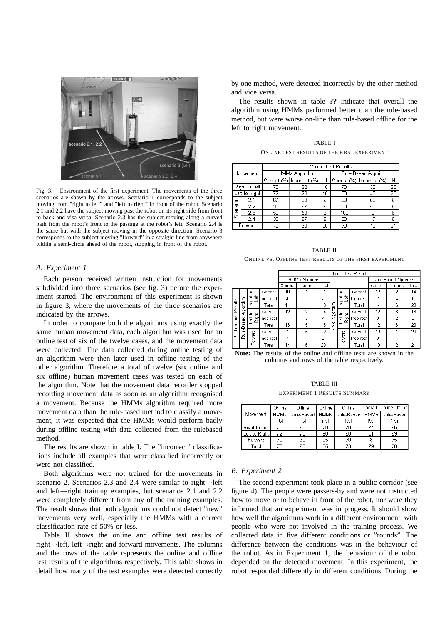

Fig. 3. Environment of the first experiment. The movements of the three scenarios are shown by the arrows. Scenario 1 corresponds to the subject moving from "right to left" and "left to right" in front of the robot. Scenario 2.1 and 2.2 have the subject moving past the robot on its right side from front to back and visa versa. Scenario 2.3 has the subject moving along a curved path from the robot's front to the passage at the robot's left. Scenario 2.4 is the same but with the subject moving in the opposite direction. Scenario 3 corresponds to the subject moving "forward" in a straight line from anywhere within a semi-circle ahead of the robot, stopping in front of the robot.

#### *A. Experiment 1*

Each person received written instruction for movements subdivided into three scenarios (see fig. 3) before the experiment started. The environment of this experiment is shown in figure 3, where the movements of the three scenarios are indicated by the arrows.

In order to compare both the algorithms using exactly the same human movement data, each algorithm was used for an online test of six of the twelve cases, and the movement data were collected. The data collected during online testing of an algorithm were then later used in offline testing of the other algorithm. Therefore a total of twelve (six online and six offline) human movement cases was tested on each of the algorithm. Note that the movement data recorder stopped recording movement data as soon as an algorithm recognised a movement. Because the HMMs algorithm required more movement data than the rule-based method to classify a movement, it was expected that the HMMs would perform badly during offline testing with data collected from the rulebased method.

The results are shown in table I. The "incorrect" classifications include all examples that were classified incorrectly or were not classified.

Both algorithms were not trained for the movements in scenario 2. Scenarios 2.3 and 2.4 were similar to right→left and left→right training examples, but scenarios 2.1 and 2.2 were completely different from any of the training examples. The result shows that both algorithms could not detect "new" movements very well, especially the HMMs with a correct classification rate of 50% or less.

Table II shows the online and offline test results of right→left, left→right and forward movements. The columns and the rows of the table represents the online and offline test results of the algorithms respectively. This table shows in detail how many of the test examples were detected correctly

by one method, were detected incorrectly by the other method and vice versa.

The results shown in table **??** indicate that overall the algorithm using HMMs performed better than the rule-based method, but were worse on-line than rule-based offline for the left to right movement.

TABLE I ONLINE TEST RESULTS OF THE FIRST EXPERIMENT

| Movement |               | <b>Online Test Results</b> |                             |                      |     |                             |    |  |  |  |  |
|----------|---------------|----------------------------|-----------------------------|----------------------|-----|-----------------------------|----|--|--|--|--|
|          |               |                            | HMMs Algorithm              | Rule-Based Algorithm |     |                             |    |  |  |  |  |
|          |               |                            | Correct (%)   Incorrect (%) | Ν                    |     | Correct (%)   Incorrect (%) | Ν  |  |  |  |  |
|          | Right to Left | 78                         | 22                          | 18                   | 70  | 30                          | 20 |  |  |  |  |
|          | Left to Right | 18<br>72<br>28<br>60<br>40 |                             |                      | 20  |                             |    |  |  |  |  |
|          | 2.1           | 67                         | 33                          | 6                    | 50  | 50                          | 6  |  |  |  |  |
| Scenario | 2.2           | 33                         | 67                          | 6                    | 50  | 50                          | 6  |  |  |  |  |
|          | 2.3           | 50                         | 50                          | 6                    | 100 |                             | 6  |  |  |  |  |
|          | 2.4           | 33                         | 67                          | 6                    | 83  | 17                          | 6  |  |  |  |  |
|          | Forward       | 70                         | 30                          | 20                   | 90  | 10                          | 21 |  |  |  |  |

TABLE II ONLINE VS. OFFLINE TEST RESULTS OF THE FIRST EXPERIMENT

|         |             |                              |           | <b>Online Test Results</b> |               |       |           |                             |           |                      |                |       |  |  |
|---------|-------------|------------------------------|-----------|----------------------------|---------------|-------|-----------|-----------------------------|-----------|----------------------|----------------|-------|--|--|
|         |             |                              |           | HMMs Algorithm             |               |       |           |                             |           | Rule-Based Algorithm |                |       |  |  |
|         |             |                              |           | Correct                    | Incorrect     | Total |           |                             |           | Correct              | Incorrect      | Total |  |  |
|         | Algorithm   | 유<br>튟<br>Right              | Correct   | 10                         |               | 11    |           | g<br>气<br>Right             | Correct   | 12                   | $\overline{2}$ | 14    |  |  |
|         |             |                              | Incorrect | 4                          | 3             | 7     |           |                             | Incorrect | 2                    | 4              | 6     |  |  |
| Results |             |                              | Total     | 14                         | 4             | 18    |           |                             | Total     | 14                   | 6              | 20    |  |  |
|         |             | 유<br>$\frac{1}{R}$ ight<br>气 | Correct   | 12                         | 2             | 14    | Algorithm | $\mathsf{e}$<br>Right<br>ti | Correct   | 12                   | 6              | 18    |  |  |
| Test    | ased        |                              | Incorrect |                            | 3             | 4     |           |                             | Incorrect | 0                    | 2              | 2     |  |  |
|         | őó          |                              | Total     | 13                         | 5             | 18    | HMMs      |                             | Total     | 12                   | 8              | 20    |  |  |
| Offline | $rac{1}{6}$ |                              | Correct   | 7                          | 5             | 12    |           |                             | Correct   | 19                   |                | 20    |  |  |
|         |             | Forward                      | Incorrect | 7                          |               | 8     |           | Forward                     | Incorrect | 0                    |                |       |  |  |
|         |             |                              | Total     | 14                         | 6             | 20    |           |                             | Total     | 19                   | 2              | 21    |  |  |
|         |             | --                           |           | - -                        | $\sim$ $\sim$ |       |           | ----                        |           |                      |                |       |  |  |

**Note:** The results of the online and offline tests are shown in the columns and rows of the table respectively.

TABLE III EXPERIMENT 1 RESULTS SUMMARY

|               | Online | Offline                                                   | Online | Offline |      | Overall: Online-Offline |
|---------------|--------|-----------------------------------------------------------|--------|---------|------|-------------------------|
| Movement      |        | HMMs   Rule-Based   HMMs   Rule-Based   HMMs   Rule-Based |        |         |      |                         |
|               | (%)    | (%)                                                       | (%)    | (%)     | (% ) | (%)                     |
| Right to Left | 78     | 61                                                        | 70     | 70      | 74   | 66                      |
| Left to Right | 72     | 78                                                        | 90     | 60      | 81   | 69                      |
| Forward       | 70     | 60                                                        | 95     | 90      | 8    | 75                      |
| Total         | 73     | 66                                                        | 85     | 73      | 79   | 70                      |

#### *B. Experiment 2*

The second experiment took place in a public corridor (see figure 4). The people were passers-by and were not instructed how to move or to behave in front of the robot, nor were they informed that an experiment was in progess. It should show how well the algorithms work in a different environment, with people who were not involved in the training process. We collected data in five different conditions or "rounds". The difference between the conditions was in the behaviour of the robot. As in Experiment 1, the behaviour of the robot depended on the detected movement. In this experiment, the robot responded differently in different conditions. During the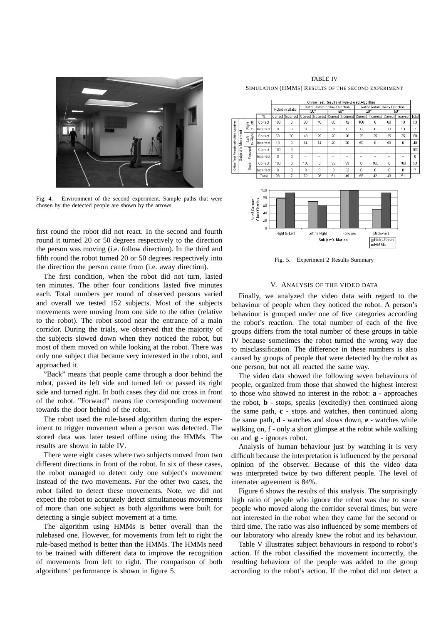

Fig. 4. Environment of the second experiment. Sample paths that were chosen by the detected people are shown by the arrows.

first round the robot did not react. In the second and fourth round it turned 20 or 50 degrees respectively to the direction the person was moving (i.e. follow direction). In the third and fifth round the robot turned 20 or 50 degrees respectively into the direction the person came from (i.e. away direction).

The first condition, when the robot did not turn, lasted ten minutes. The other four conditions lasted five minutes each. Total numbers per round of observed persons varied and overall we tested 152 subjects. Most of the subjects movements were moving from one side to the other (relative to the robot). The robot stood near the entrance of a main corridor. During the trials, we observed that the majority of the subjects slowed down when they noticed the robot, but most of them moved on while looking at the robot. There was only one subject that became very interested in the robot, and approached it.

"Back" means that people came through a door behind the robot, passed its left side and turned left or passed its right side and turned right. In both cases they did not cross in front of the robot. "Forward" means the corresponding movement towards the door behind of the robot.

The robot used the rule-based algorithm during the experiment to trigger movement when a person was detected. The stored data was later tested offline using the HMMs. The results are shown in table IV.

There were eight cases where two subjects moved from two different directions in front of the robot. In six of these cases, the robot managed to detect only one subject's movement instead of the two movements. For the other two cases, the robot failed to detect these movements. Note, we did not expect the robot to accurately detect simultaneous movements of more than one subject as both algorithms were built for detecting a single subject movement at a time.

The algorithm using HMMs is better overall than the rulebased one. However, for movements from left to right the rule-based method is better than the HMMs. The HMMs need to be trained with different data to improve the recognition of movements from left to right. The comparison of both algorithms' performance is shown in figure 5.

TABLE IV SIMULATION (HMMS) RESULTS OF THE SECOND EXPERIMENT

|                                                           |          |                              |              | Online Test Results of Rule-Based Algorithm |             |                               |                |              |    |                             |     |        |                                                                                                             |                |
|-----------------------------------------------------------|----------|------------------------------|--------------|---------------------------------------------|-------------|-------------------------------|----------------|--------------|----|-----------------------------|-----|--------|-------------------------------------------------------------------------------------------------------------|----------------|
|                                                           |          |                              |              | Robot in Static                             |             | Robot Rotate Follow Direction |                |              |    | Robot Rotate Away Direction |     |        |                                                                                                             |                |
|                                                           |          |                              | $20^{\circ}$ |                                             |             | 50°                           |                | $20^{\circ}$ |    | 50°                         |     |        |                                                                                                             |                |
|                                                           |          |                              | %            |                                             |             |                               |                |              |    |                             |     |        | Correct   Incorrect   Correct   Incorrect   Correct   Incorrect   Correct   Incorrect   Correct   Incorrect | Total          |
|                                                           |          | <b>SE</b><br>Right           | Correct      | 100                                         | O           | 60                            | 4 <sub>0</sub> | 50           | 42 | 100                         | Ū   | 60     | 13                                                                                                          | 93             |
| Algorithm                                                 |          | 요                            | Incorrect    | 0                                           | 0           | 0                             | $\Omega$       | 8            | 0  | 0                           | n   | 13     | 13                                                                                                          | $\overline{ }$ |
|                                                           | Movement | Right<br>툽<br>$\overline{a}$ | Correct      | 60                                          | 30          | 43                            | 29             | 20           | 20 | 25                          | 25  | 25     | 25                                                                                                          | 60             |
|                                                           |          |                              | Incorrect    | 10                                          | $\mathbf 0$ | 14                            | 14             | 40           | 20 | 50                          | n   | 50     | 0                                                                                                           | 40             |
|                                                           |          | Forward                      | Correct      | 100                                         | $\Omega$    | --                            |                | --           |    | --                          | --  | --     | --                                                                                                          | 100            |
| Test Results of HMMs<br>Subject's<br>Offline <sup>1</sup> |          |                              | Incorrect    | 0                                           | 0           |                               | $\sim$         | $\sim$       | -- | --                          |     | $\sim$ | --                                                                                                          | n              |
|                                                           |          | Back                         | Correct      | 100                                         | $\mathbf 0$ | 100                           | $\mathbf 0$    | 33           | 33 | 0                           | 100 | 0      | 100                                                                                                         | 93             |
|                                                           |          |                              | Incorrect    | 0                                           | 0           | 0                             | 0              | $\Omega$     | 33 | 0                           | 0   | 0      | 0                                                                                                           | 7              |
| Total                                                     |          |                              | 93           | 7                                           | 72          | 28                            | 51             | 49           | 58 | 42                          | 49  | 51     |                                                                                                             |                |



Fig. 5. Experiment 2 Results Summary

## V. ANALYSIS OF THE VIDEO DATA

Finally, we analyzed the video data with regard to the behaviour of people when they noticed the robot. A person's behaviour is grouped under one of five categories according the robot's reaction. The total number of each of the five groups differs from the total number of these groups in table IV because sometimes the robot turned the wrong way due to misclassification. The difference in these numbers is also caused by groups of people that were detected by the robot as one person, but not all reacted the same way.

The video data showed the following seven behaviours of people, organized from those that showed the highest interest to those who showed no interest in the robot: **a** - approaches the robot, **b** - stops, speaks (excitedly) then continued along the same path, **c** - stops and watches, then continued along the same path, **d** - watches and slows down, **e** - watches while walking on, f - only a short glimpse at the robot while walking on and **g** - ignores robot.

Analysis of human behaviour just by watching it is very difficult because the interpretation is influenced by the personal opinion of the observer. Because of this the video data was interpreted twice by two different people. The level of interrater agreement is 84%.

Figure 6 shows the results of this analysis. The surprisingly high ratio of people who ignore the robot was due to some people who moved along the corridor several times, but were not interested in the robot when they came for the second or third time. The ratio was also influenced by some members of our laboratory who already knew the robot and its behaviour.

Table V illustrates subject behaviours in respond to robot's action. If the robot classified the movement incorrectly, the resulting behaviour of the people was added to the group according to the robot's action. If the robot did not detect a